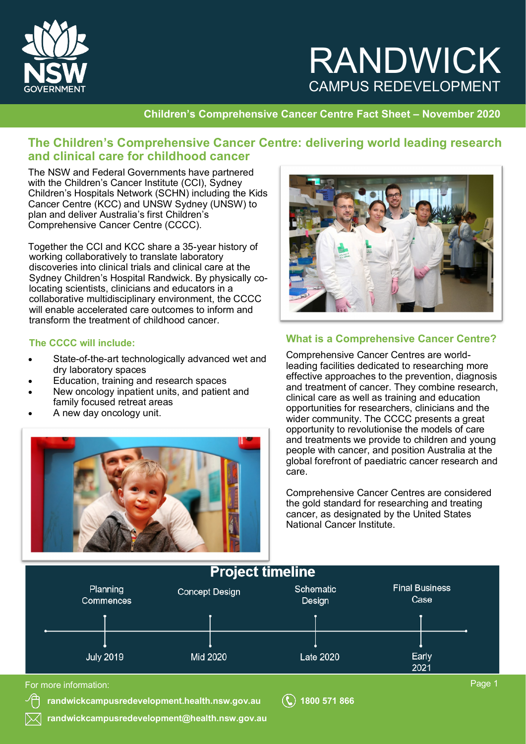

# RANDWICK CAMPUS REDEVELOPMENT

#### **Children's Comprehensive Cancer Centre Fact Sheet – November 2020**

### **The Children's Comprehensive Cancer Centre: delivering world leading research and clinical care for childhood cancer**

The NSW and Federal Governments have partnered with the Children's Cancer Institute (CCI), Sydney Children's Hospitals Network (SCHN) including the Kids Cancer Centre (KCC) and UNSW Sydney (UNSW) to plan and deliver Australia's first Children's Comprehensive Cancer Centre (CCCC).

Together the CCI and KCC share a 35-year history of working collaboratively to translate laboratory discoveries into clinical trials and clinical care at the Sydney Children's Hospital Randwick. By physically colocating scientists, clinicians and educators in a collaborative multidisciplinary environment, the CCCC will enable accelerated care outcomes to inform and transform the treatment of childhood cancer.

#### **The CCCC will include:**

- State-of-the-art technologically advanced wet and dry laboratory spaces
- Education, training and research spaces
- New oncology inpatient units, and patient and family focused retreat areas
- A new day oncology unit.





#### **What is a Comprehensive Cancer Centre?**

Comprehensive Cancer Centres are worldleading facilities dedicated to researching more effective approaches to the prevention, diagnosis and treatment of cancer. They combine research, clinical care as well as training and education opportunities for researchers, clinicians and the wider community. The CCCC presents a great opportunity to revolutionise the models of care and treatments we provide to children and young people with cancer, and position Australia at the global forefront of paediatric cancer research and care.

Comprehensive Cancer Centres are considered the gold standard for researching and treating cancer, as designated by the United States National Cancer Institute.



**[randwickcampusredevelopment.health.nsw.gov.au](http://www.randwickcampusredevelopment.health.nsw.gov.au) 1800 571 866**

**[randwickcampusredevelopment@health.nsw.gov.au](mailto:randwickcampusredevelopment@health.nsw.gov.au)**